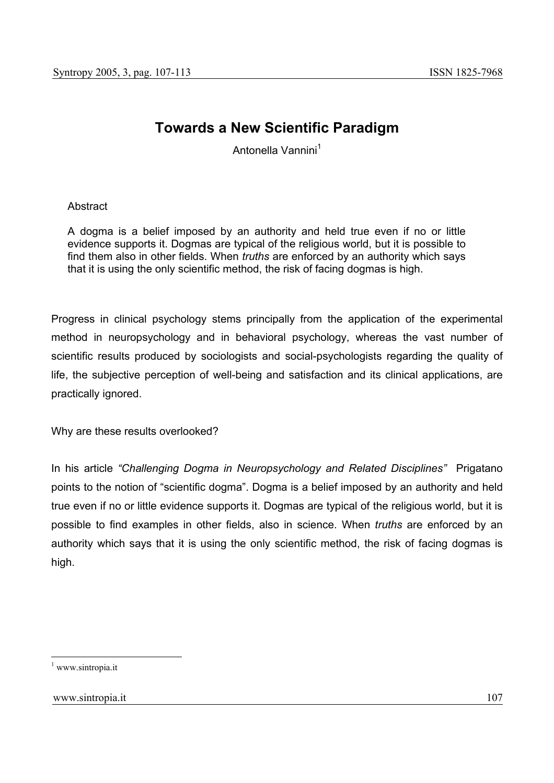# **Towards a New Scientific Paradigm**

Antonella Vannini<sup>1</sup>

## Abstract

A dogma is a belief imposed by an authority and held true even if no or little evidence supports it. Dogmas are typical of the religious world, but it is possible to find them also in other fields. When *truths* are enforced by an authority which says that it is using the only scientific method, the risk of facing dogmas is high.

Progress in clinical psychology stems principally from the application of the experimental method in neuropsychology and in behavioral psychology, whereas the vast number of scientific results produced by sociologists and social-psychologists regarding the quality of life, the subjective perception of well-being and satisfaction and its clinical applications, are practically ignored.

Why are these results overlooked?

In his article *"Challenging Dogma in Neuropsychology and Related Disciplines"* Prigatano points to the notion of "scientific dogma". Dogma is a belief imposed by an authority and held true even if no or little evidence supports it. Dogmas are typical of the religious world, but it is possible to find examples in other fields, also in science. When *truths* are enforced by an authority which says that it is using the only scientific method, the risk of facing dogmas is high.

<sup>1</sup> www.sintropia.it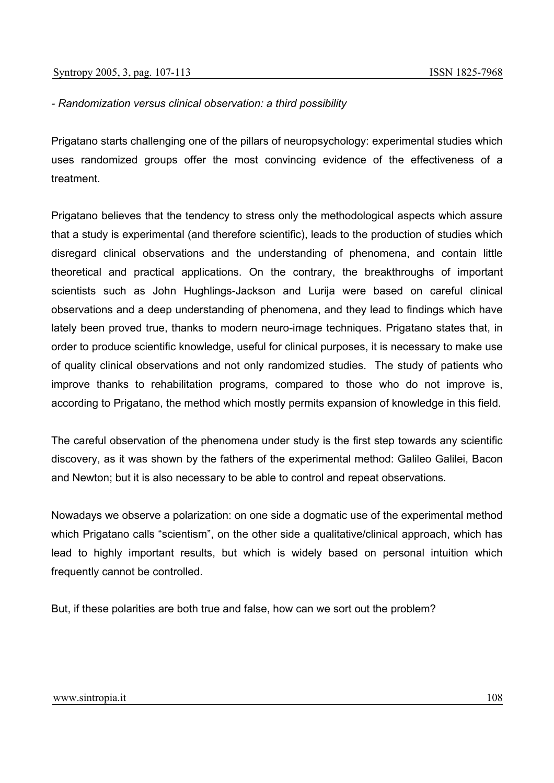## *- Randomization versus clinical observation: a third possibility*

Prigatano starts challenging one of the pillars of neuropsychology: experimental studies which uses randomized groups offer the most convincing evidence of the effectiveness of a treatment.

Prigatano believes that the tendency to stress only the methodological aspects which assure that a study is experimental (and therefore scientific), leads to the production of studies which disregard clinical observations and the understanding of phenomena, and contain little theoretical and practical applications. On the contrary, the breakthroughs of important scientists such as John Hughlings-Jackson and Lurija were based on careful clinical observations and a deep understanding of phenomena, and they lead to findings which have lately been proved true, thanks to modern neuro-image techniques. Prigatano states that, in order to produce scientific knowledge, useful for clinical purposes, it is necessary to make use of quality clinical observations and not only randomized studies. The study of patients who improve thanks to rehabilitation programs, compared to those who do not improve is, according to Prigatano, the method which mostly permits expansion of knowledge in this field.

The careful observation of the phenomena under study is the first step towards any scientific discovery, as it was shown by the fathers of the experimental method: Galileo Galilei, Bacon and Newton; but it is also necessary to be able to control and repeat observations.

Nowadays we observe a polarization: on one side a dogmatic use of the experimental method which Prigatano calls "scientism", on the other side a qualitative/clinical approach, which has lead to highly important results, but which is widely based on personal intuition which frequently cannot be controlled.

But, if these polarities are both true and false, how can we sort out the problem?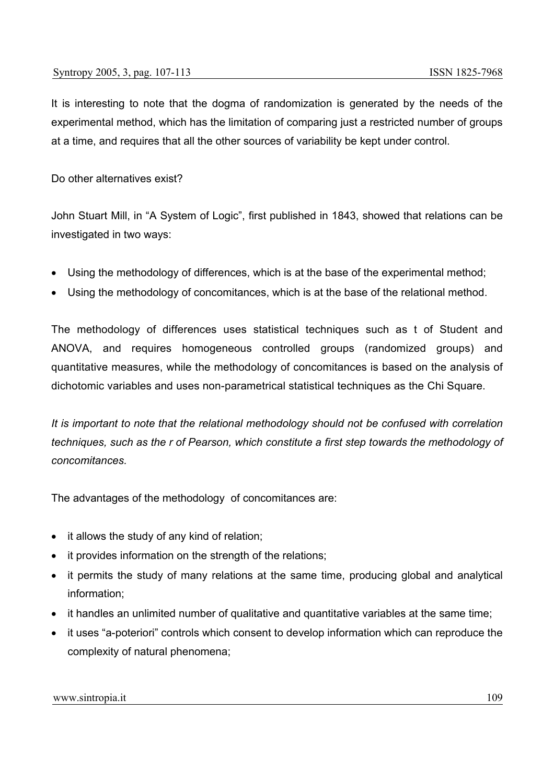It is interesting to note that the dogma of randomization is generated by the needs of the experimental method, which has the limitation of comparing just a restricted number of groups at a time, and requires that all the other sources of variability be kept under control.

Do other alternatives exist?

John Stuart Mill, in "A System of Logic", first published in 1843, showed that relations can be investigated in two ways:

- Using the methodology of differences, which is at the base of the experimental method;
- Using the methodology of concomitances, which is at the base of the relational method.

The methodology of differences uses statistical techniques such as t of Student and ANOVA, and requires homogeneous controlled groups (randomized groups) and quantitative measures, while the methodology of concomitances is based on the analysis of dichotomic variables and uses non-parametrical statistical techniques as the Chi Square.

*It is important to note that the relational methodology should not be confused with correlation techniques, such as the r of Pearson, which constitute a first step towards the methodology of concomitances.* 

The advantages of the methodology of concomitances are:

- it allows the study of any kind of relation;
- it provides information on the strength of the relations:
- it permits the study of many relations at the same time, producing global and analytical information;
- it handles an unlimited number of qualitative and quantitative variables at the same time;
- it uses "a-poteriori" controls which consent to develop information which can reproduce the complexity of natural phenomena;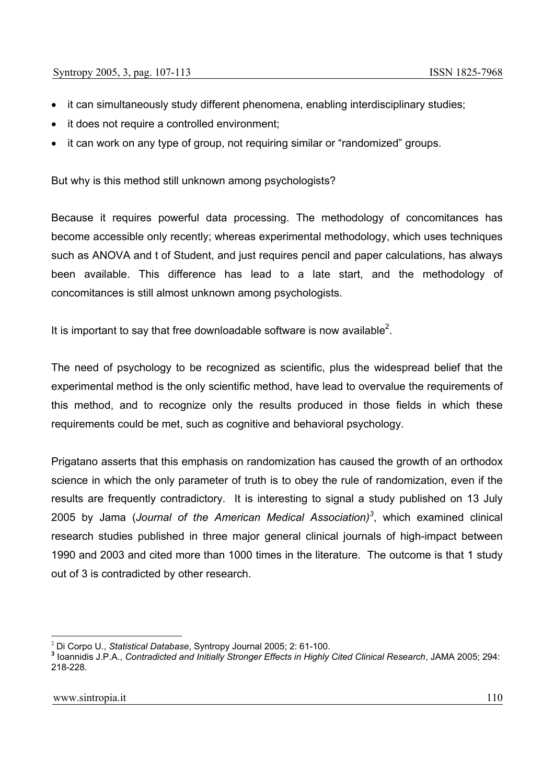- it can simultaneously study different phenomena, enabling interdisciplinary studies;
- it does not require a controlled environment;
- it can work on any type of group, not requiring similar or "randomized" groups.

But why is this method still unknown among psychologists?

Because it requires powerful data processing. The methodology of concomitances has become accessible only recently; whereas experimental methodology, which uses techniques such as ANOVA and t of Student, and just requires pencil and paper calculations, has always been available. This difference has lead to a late start, and the methodology of concomitances is still almost unknown among psychologists.

It is important to say that free downloadable software is now available<sup>2</sup>.

The need of psychology to be recognized as scientific, plus the widespread belief that the experimental method is the only scientific method, have lead to overvalue the requirements of this method, and to recognize only the results produced in those fields in which these requirements could be met, such as cognitive and behavioral psychology.

Prigatano asserts that this emphasis on randomization has caused the growth of an orthodox science in which the only parameter of truth is to obey the rule of randomization, even if the results are frequently contradictory. It is interesting to signal a study published on 13 July 2005 by Jama (*Journal of the American Medical Association)<sup>3</sup>* , which examined clinical research studies published in three major general clinical journals of high-impact between 1990 and 2003 and cited more than 1000 times in the literature. The outcome is that 1 study out of 3 is contradicted by other research.

<sup>2</sup> Di Corpo U., *Statistical Database*, Syntropy Journal 2005; 2: 61-100. **<sup>3</sup>** Ioannidis J.P.A., *Contradicted and Initially Stronger Effects in Highly Cited Clinical Research*, JAMA 2005; 294: 218-228.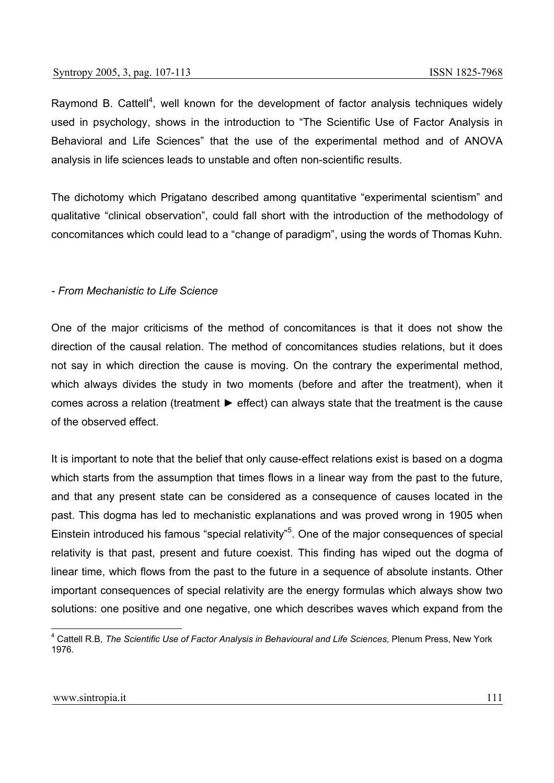Raymond B. Cattell<sup>4</sup>, well known for the development of factor analysis techniques widely used in psychology, shows in the introduction to "The Scientific Use of Factor Analysis in Behavioral and Life Sciences" that the use of the experimental method and of ANOVA analysis in life sciences leads to unstable and often non-scientific results.

The dichotomy which Prigatano described among quantitative "experimental scientism" and qualitative "clinical observation", could fall short with the introduction of the methodology of concomitances which could lead to a "change of paradigm", using the words of Thomas Kuhn.

## *- From Mechanistic to Life Science*

One of the major criticisms of the method of concomitances is that it does not show the direction of the causal relation. The method of concomitances studies relations, but it does not say in which direction the cause is moving. On the contrary the experimental method, which always divides the study in two moments (before and after the treatment), when it comes across a relation (treatment ► effect) can always state that the treatment is the cause of the observed effect.

It is important to note that the belief that only cause-effect relations exist is based on a dogma which starts from the assumption that times flows in a linear way from the past to the future, and that any present state can be considered as a consequence of causes located in the past. This dogma has led to mechanistic explanations and was proved wrong in 1905 when Einstein introduced his famous "special relativity"<sup>5</sup>. One of the major consequences of special relativity is that past, present and future coexist. This finding has wiped out the dogma of linear time, which flows from the past to the future in a sequence of absolute instants. Other important consequences of special relativity are the energy formulas which always show two solutions: one positive and one negative, one which describes waves which expand from the

 4 Cattell R.B, *The Scientific Use of Factor Analysis in Behavioural and Life Sciences*, Plenum Press, New York 1976.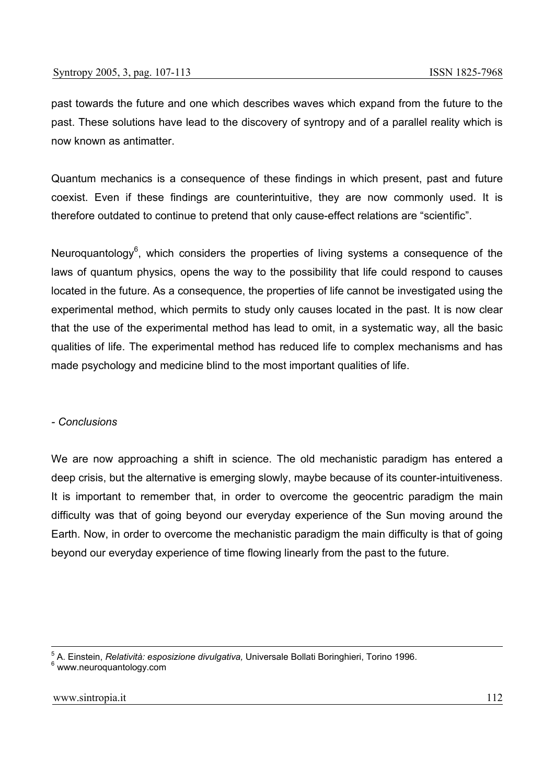past towards the future and one which describes waves which expand from the future to the past. These solutions have lead to the discovery of syntropy and of a parallel reality which is now known as antimatter.

Quantum mechanics is a consequence of these findings in which present, past and future coexist. Even if these findings are counterintuitive, they are now commonly used. It is therefore outdated to continue to pretend that only cause-effect relations are "scientific".

Neuroquantology<sup>6</sup>, which considers the properties of living systems a consequence of the laws of quantum physics, opens the way to the possibility that life could respond to causes located in the future. As a consequence, the properties of life cannot be investigated using the experimental method, which permits to study only causes located in the past. It is now clear that the use of the experimental method has lead to omit, in a systematic way, all the basic qualities of life. The experimental method has reduced life to complex mechanisms and has made psychology and medicine blind to the most important qualities of life.

## *- Conclusions*

We are now approaching a shift in science. The old mechanistic paradigm has entered a deep crisis, but the alternative is emerging slowly, maybe because of its counter-intuitiveness. It is important to remember that, in order to overcome the geocentric paradigm the main difficulty was that of going beyond our everyday experience of the Sun moving around the Earth. Now, in order to overcome the mechanistic paradigm the main difficulty is that of going beyond our everyday experience of time flowing linearly from the past to the future.

<sup>5</sup> A. Einstein, *Relatività: esposizione divulgativa,* Universale Bollati Boringhieri, Torino 1996. <sup>6</sup>  $6$  www.neuroquantology.com